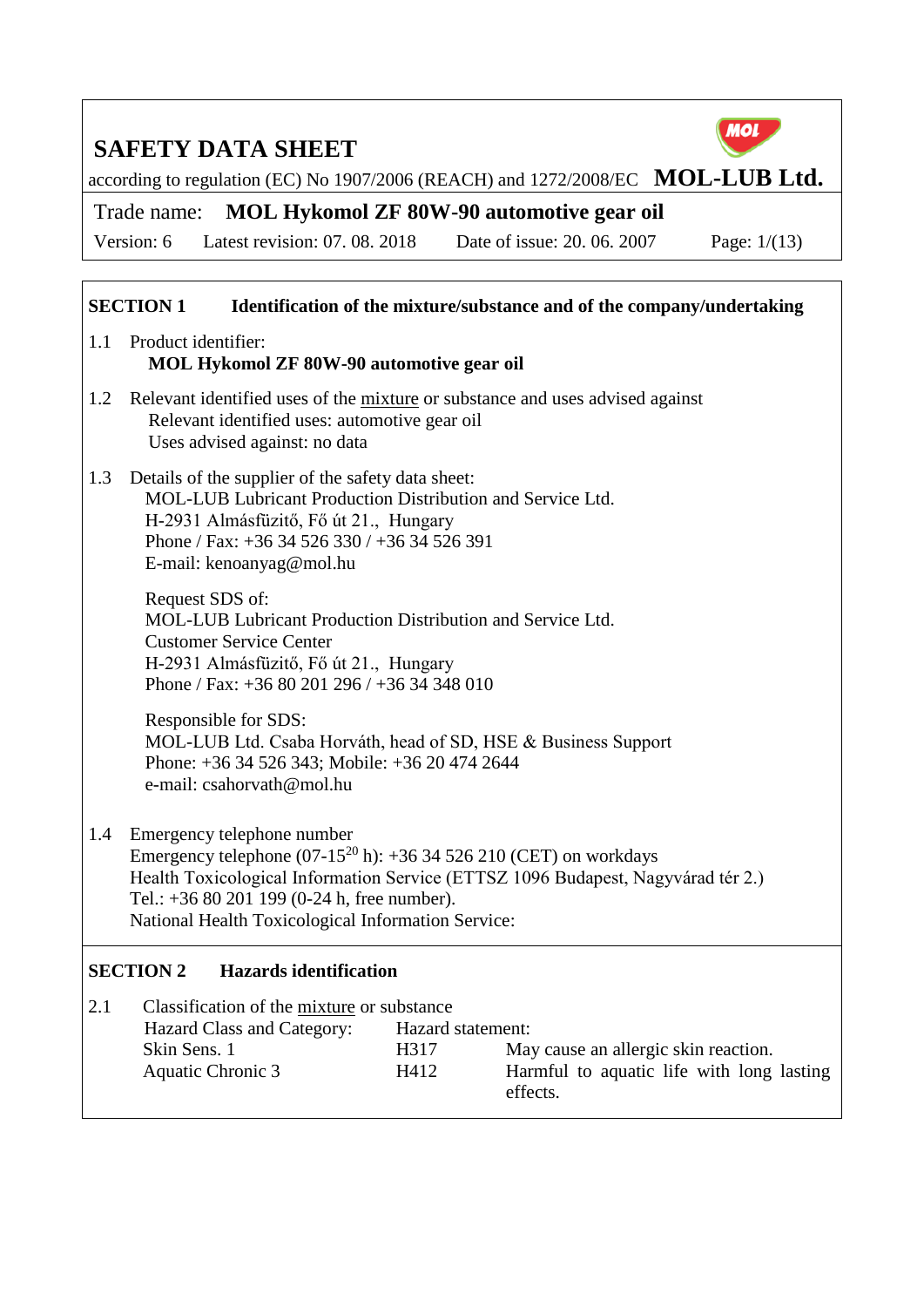

according to regulation (EC) No 1907/2006 (REACH) and 1272/2008/EC **MOL-LUB Ltd.** 

Trade name: **MOL Hykomol ZF 80W-90 automotive gear oil**

Version: 6 Latest revision: 07. 08. 2018 Date of issue: 20. 06. 2007 Page: 1/(13)

#### **SECTION 1 Identification of the mixture/substance and of the company/undertaking** 1.1 Product identifier: **MOL Hykomol ZF 80W-90 automotive gear oil** 1.2 Relevant identified uses of the mixture or substance and uses advised against Relevant identified uses: automotive gear oil Uses advised against: no data 1.3 Details of the supplier of the safety data sheet: MOL-LUB Lubricant Production Distribution and Service Ltd. H-2931 Almásfüzitő, Fő út 21., Hungary Phone / Fax: +36 34 526 330 / +36 34 526 391 E-mail: kenoanyag@mol.hu Request SDS of: MOL-LUB Lubricant Production Distribution and Service Ltd. Customer Service Center H-2931 Almásfüzitő, Fő út 21., Hungary Phone / Fax: +36 80 201 296 / +36 34 348 010 Responsible for SDS: MOL-LUB Ltd. Csaba Horváth, head of SD, HSE & Business Support Phone: +36 34 526 343; Mobile: +36 20 474 2644 e-mail: csahorvath@mol.hu 1.4 Emergency telephone number Emergency telephone  $(07-15^{20} h)$ : +36 34 526 210 (CET) on workdays Health Toxicological Information Service (ETTSZ 1096 Budapest, Nagyvárad tér 2.) Tel.: +36 80 201 199 (0-24 h, free number). National Health Toxicological Information Service: **SECTION 2 Hazards identification** 2.1 Classification of the mixture or substance Hazard Class and Category: Hazard statement: Skin Sens. 1 **H317** May cause an allergic skin reaction. Aquatic Chronic 3 H412 Harmful to aquatic life with long lasting effects.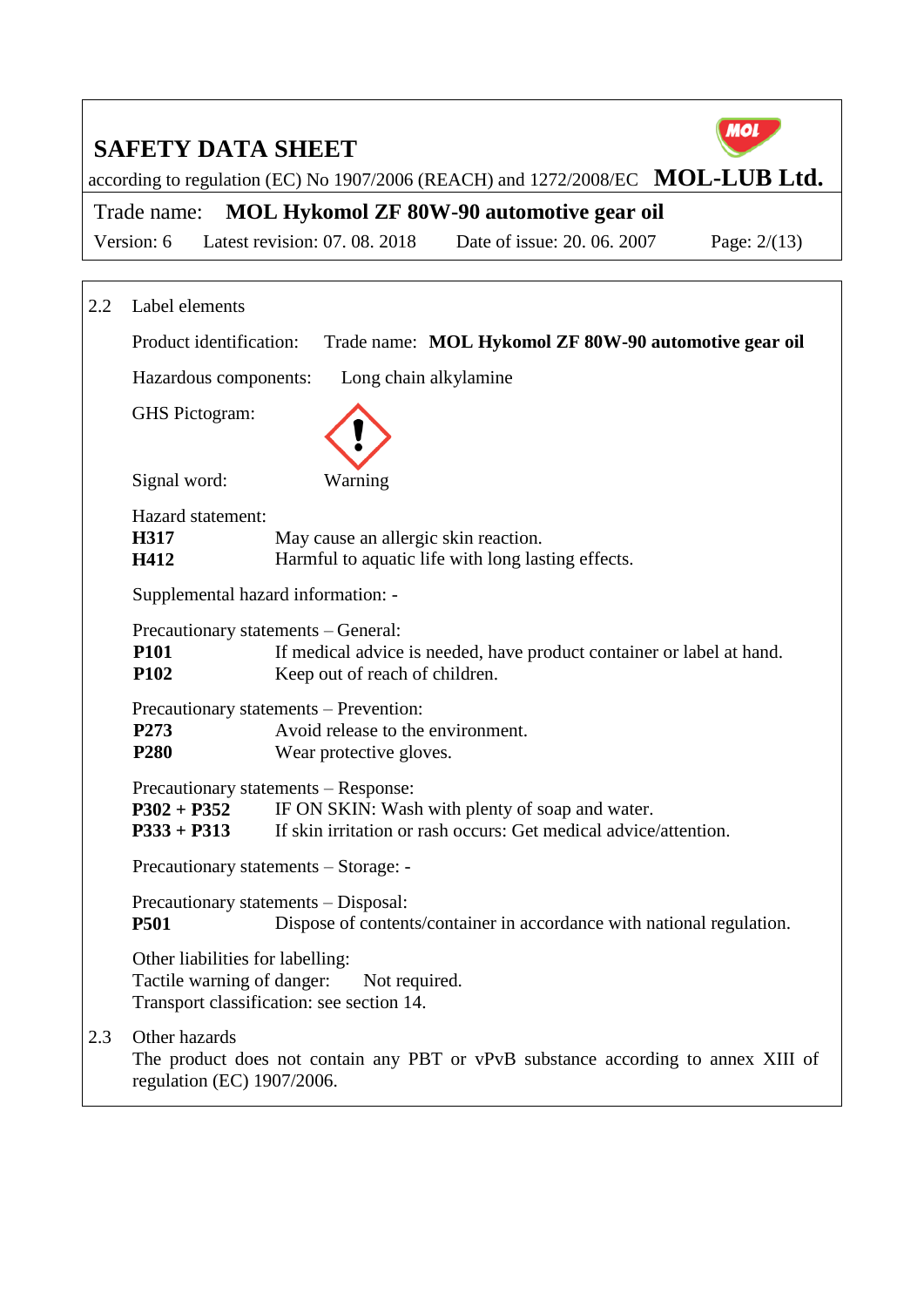

according to regulation (EC) No 1907/2006 (REACH) and 1272/2008/EC **MOL-LUB Ltd.** 

Trade name: **MOL Hykomol ZF 80W-90 automotive gear oil**

Version: 6 Latest revision: 07. 08. 2018 Date of issue: 20. 06. 2007 Page: 2/(13)

| 2.2 | Label elements                                                 |                                                                                                                                                             |  |  |  |
|-----|----------------------------------------------------------------|-------------------------------------------------------------------------------------------------------------------------------------------------------------|--|--|--|
|     | Product identification:                                        | Trade name: MOL Hykomol ZF 80W-90 automotive gear oil                                                                                                       |  |  |  |
|     | Hazardous components:                                          | Long chain alkylamine                                                                                                                                       |  |  |  |
|     | GHS Pictogram:                                                 |                                                                                                                                                             |  |  |  |
|     | Signal word:                                                   | Warning                                                                                                                                                     |  |  |  |
|     | Hazard statement:<br>H317<br>H412                              | May cause an allergic skin reaction.<br>Harmful to aquatic life with long lasting effects.                                                                  |  |  |  |
|     | Supplemental hazard information: -                             |                                                                                                                                                             |  |  |  |
|     | <b>P101</b><br><b>P102</b>                                     | Precautionary statements - General:<br>If medical advice is needed, have product container or label at hand.<br>Keep out of reach of children.              |  |  |  |
|     | P273<br><b>P280</b>                                            | Precautionary statements – Prevention:<br>Avoid release to the environment.<br>Wear protective gloves.                                                      |  |  |  |
|     | $P302 + P352$<br>$P333 + P313$                                 | Precautionary statements – Response:<br>IF ON SKIN: Wash with plenty of soap and water.<br>If skin irritation or rash occurs: Get medical advice/attention. |  |  |  |
|     |                                                                | Precautionary statements - Storage: -                                                                                                                       |  |  |  |
|     | <b>P501</b>                                                    | Precautionary statements - Disposal:<br>Dispose of contents/container in accordance with national regulation.                                               |  |  |  |
|     | Other liabilities for labelling:<br>Tactile warning of danger: | Not required.<br>Transport classification: see section 14.                                                                                                  |  |  |  |
| 2.3 | Other hazards<br>regulation (EC) 1907/2006.                    | The product does not contain any PBT or vPvB substance according to annex XIII of                                                                           |  |  |  |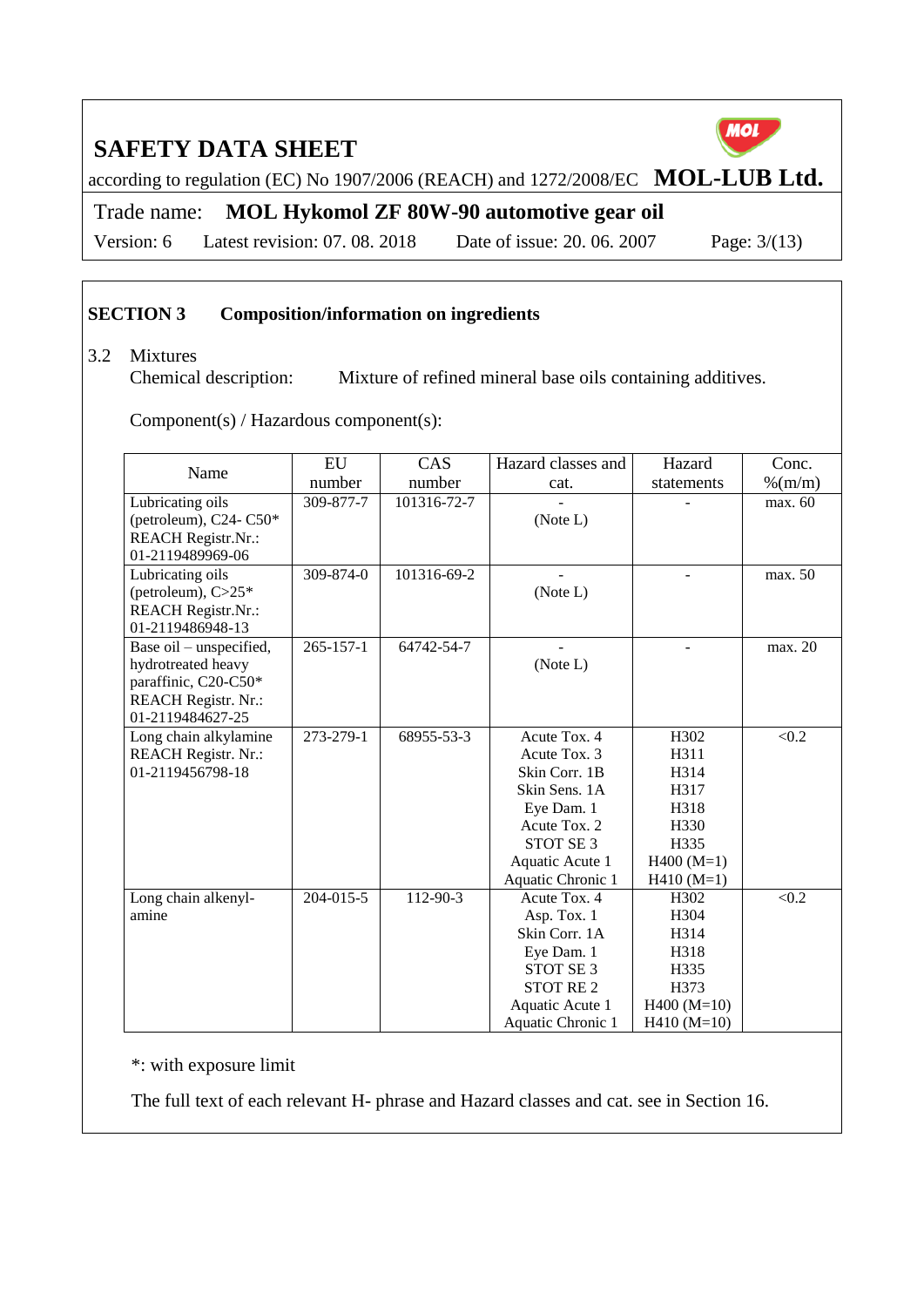MOL

according to regulation (EC) No 1907/2006 (REACH) and 1272/2008/EC **MOL-LUB Ltd.** 

Trade name: **MOL Hykomol ZF 80W-90 automotive gear oil**

Version: 6 Latest revision: 07. 08. 2018 Date of issue: 20. 06. 2007 Page: 3/(13)

#### **SECTION 3 Composition/information on ingredients**

#### 3.2 Mixtures

Chemical description: Mixture of refined mineral base oils containing additives.

Component(s) / Hazardous component(s):

| Name                       | EU              | CAS         | Hazard classes and   | Hazard           | Conc.      |
|----------------------------|-----------------|-------------|----------------------|------------------|------------|
|                            | number          | number      | cat.                 | statements       | $\%$ (m/m) |
| Lubricating oils           | 309-877-7       | 101316-72-7 |                      |                  | max. 60    |
| (petroleum), $C24 - C50*$  |                 |             | (Note L)             |                  |            |
| <b>REACH Registr.Nr.:</b>  |                 |             |                      |                  |            |
| 01-2119489969-06           |                 |             |                      |                  |            |
| Lubricating oils           | 309-874-0       | 101316-69-2 |                      |                  | max. 50    |
| (petroleum), $C>25*$       |                 |             | (Note L)             |                  |            |
| <b>REACH Registr.Nr.:</b>  |                 |             |                      |                  |            |
| 01-2119486948-13           |                 |             |                      |                  |            |
| Base oil – unspecified,    | $265 - 157 - 1$ | 64742-54-7  |                      |                  | max. 20    |
| hydrotreated heavy         |                 |             | (Note L)             |                  |            |
| paraffinic, C20-C50*       |                 |             |                      |                  |            |
| <b>REACH Registr. Nr.:</b> |                 |             |                      |                  |            |
| 01-2119484627-25           |                 |             |                      |                  |            |
| Long chain alkylamine      | 273-279-1       | 68955-53-3  | Acute Tox. 4         | H302             | < 0.2      |
| <b>REACH Registr. Nr.:</b> |                 |             | Acute Tox. 3         | H311             |            |
| 01-2119456798-18           |                 |             | Skin Corr. 1B        | H314             |            |
|                            |                 |             | Skin Sens, 1A        | H317             |            |
|                            |                 |             | Eye Dam. 1           | H318             |            |
|                            |                 |             | Acute Tox. 2         | H330             |            |
|                            |                 |             | STOT SE <sub>3</sub> | H335             |            |
|                            |                 |             | Aquatic Acute 1      | $H400 (M=1)$     |            |
|                            |                 |             | Aquatic Chronic 1    | $H410(M=1)$      |            |
| Long chain alkenyl-        | 204-015-5       | 112-90-3    | Acute Tox. 4         | H <sub>302</sub> | < 0.2      |
| amine                      |                 |             | Asp. Tox. 1          | H304             |            |
|                            |                 |             | Skin Corr. 1A        | H314             |            |
|                            |                 |             | Eye Dam. 1           | H318             |            |
|                            |                 |             | STOT SE <sub>3</sub> | H335             |            |
|                            |                 |             | <b>STOT RE2</b>      | H373             |            |
|                            |                 |             | Aquatic Acute 1      | $H400 (M=10)$    |            |
|                            |                 |             | Aquatic Chronic 1    | $H410 (M=10)$    |            |

\*: with exposure limit

The full text of each relevant H- phrase and Hazard classes and cat. see in Section 16.

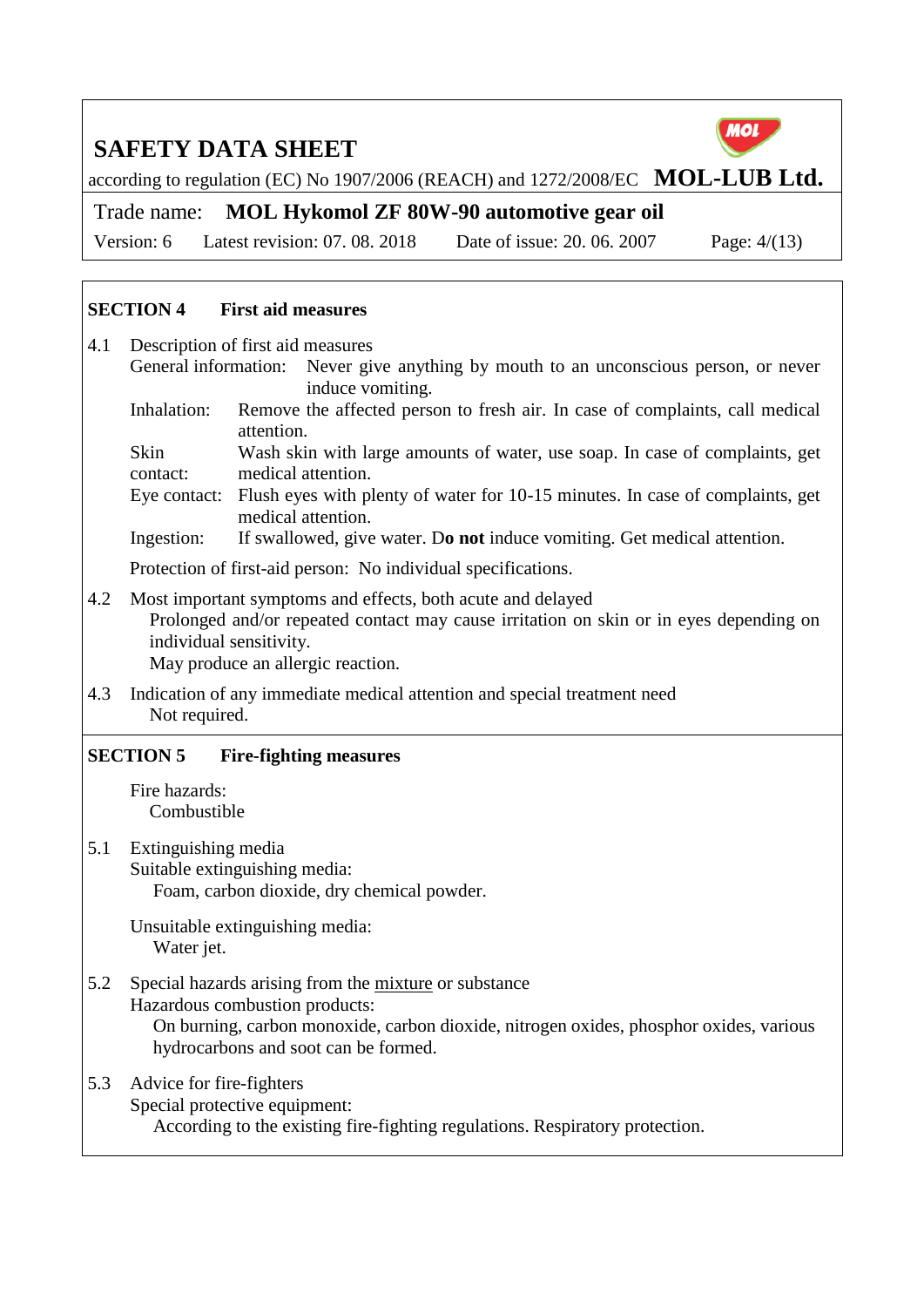

according to regulation (EC) No 1907/2006 (REACH) and 1272/2008/EC **MOL-LUB Ltd.** 

Trade name: **MOL Hykomol ZF 80W-90 automotive gear oil**

Version: 6 Latest revision: 07. 08. 2018 Date of issue: 20. 06. 2007 Page: 4/(13)

#### **SECTION 4 First aid measures**

- 4.1 Description of first aid measures
	- General information: Never give anything by mouth to an unconscious person, or never induce vomiting.
		- Inhalation: Remove the affected person to fresh air. In case of complaints, call medical attention.
		- Skin contact: Wash skin with large amounts of water, use soap. In case of complaints, get medical attention.
		- Eye contact: Flush eyes with plenty of water for 10-15 minutes. In case of complaints, get medical attention.
		- Ingestion: If swallowed, give water. D**o not** induce vomiting. Get medical attention.

Protection of first-aid person: No individual specifications.

- 4.2 Most important symptoms and effects, both acute and delayed Prolonged and/or repeated contact may cause irritation on skin or in eyes depending on individual sensitivity. May produce an allergic reaction.
- 4.3 Indication of any immediate medical attention and special treatment need Not required.

#### **SECTION 5 Fire-fighting measures**

- Fire hazards: Combustible
- 5.1 Extinguishing media Suitable extinguishing media: Foam, carbon dioxide, dry chemical powder.

Unsuitable extinguishing media: Water jet.

5.2 Special hazards arising from the mixture or substance

Hazardous combustion products: On burning, carbon monoxide, carbon dioxide, nitrogen oxides, phosphor oxides, various hydrocarbons and soot can be formed.

5.3 Advice for fire-fighters Special protective equipment: According to the existing fire-fighting regulations. Respiratory protection.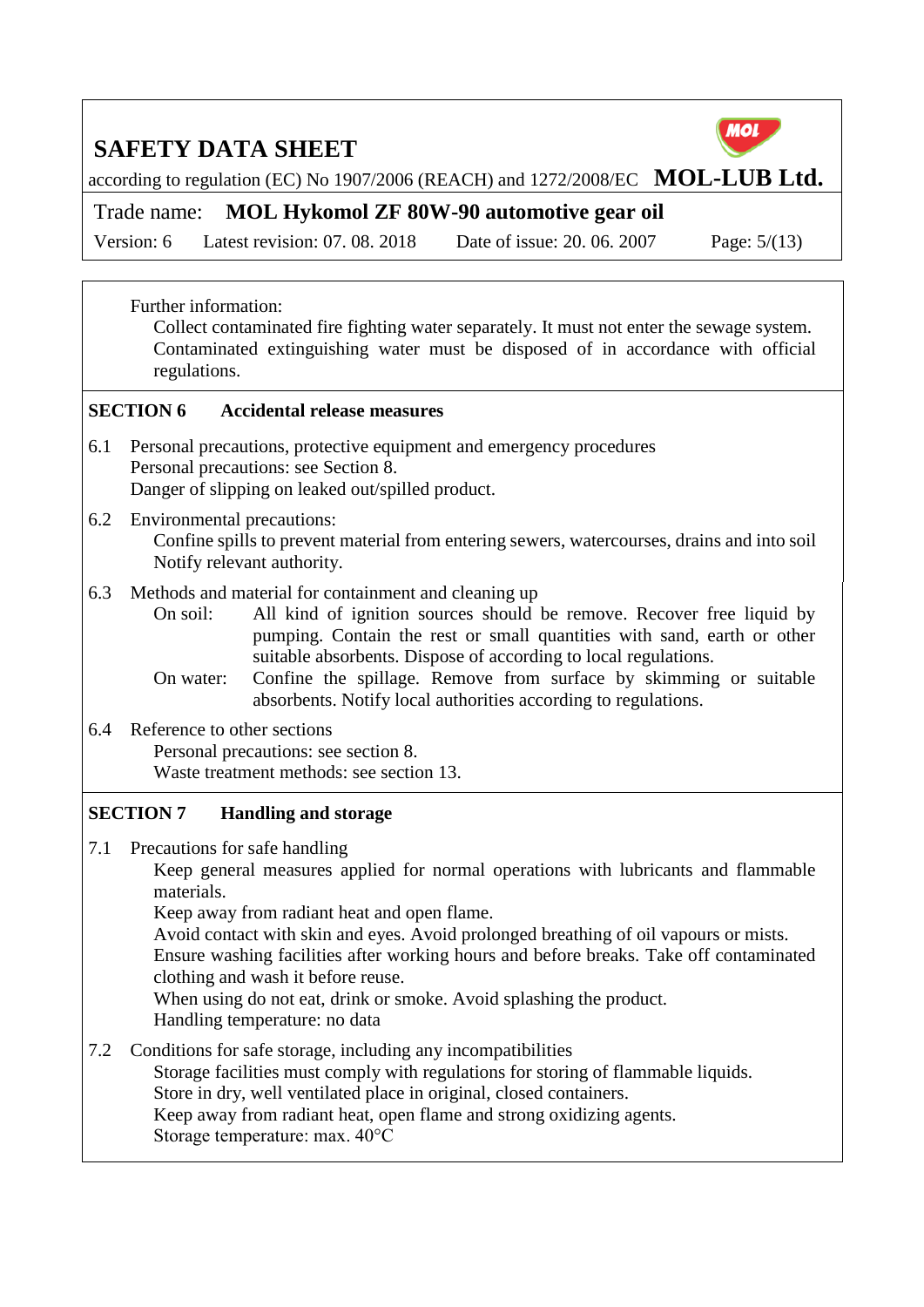

according to regulation (EC) No 1907/2006 (REACH) and 1272/2008/EC **MOL-LUB Ltd.** 

Trade name: **MOL Hykomol ZF 80W-90 automotive gear oil**

Version: 6 Latest revision: 07. 08. 2018 Date of issue: 20. 06. 2007 Page: 5/(13)

Further information:

Collect contaminated fire fighting water separately. It must not enter the sewage system. Contaminated extinguishing water must be disposed of in accordance with official regulations.

#### **SECTION 6 Accidental release measures**

- 6.1 Personal precautions, protective equipment and emergency procedures Personal precautions: see Section 8. Danger of slipping on leaked out/spilled product.
- 6.2 Environmental precautions:

Confine spills to prevent material from entering sewers, watercourses, drains and into soil Notify relevant authority.

6.3 Methods and material for containment and cleaning up

On soil: All kind of ignition sources should be remove. Recover free liquid by pumping. Contain the rest or small quantities with sand, earth or other suitable absorbents. Dispose of according to local regulations.

On water: Confine the spillage. Remove from surface by skimming or suitable absorbents. Notify local authorities according to regulations.

6.4 Reference to other sections Personal precautions: see section 8. Waste treatment methods: see section 13.

#### **SECTION 7 Handling and storage**

7.1 Precautions for safe handling

Keep general measures applied for normal operations with lubricants and flammable materials.

Keep away from radiant heat and open flame.

Avoid contact with skin and eyes. Avoid prolonged breathing of oil vapours or mists. Ensure washing facilities after working hours and before breaks. Take off contaminated clothing and wash it before reuse.

When using do not eat, drink or smoke. Avoid splashing the product.

Handling temperature: no data

7.2 Conditions for safe storage, including any incompatibilities Storage facilities must comply with regulations for storing of flammable liquids. Store in dry, well ventilated place in original, closed containers. Keep away from radiant heat, open flame and strong oxidizing agents. Storage temperature: max. 40°C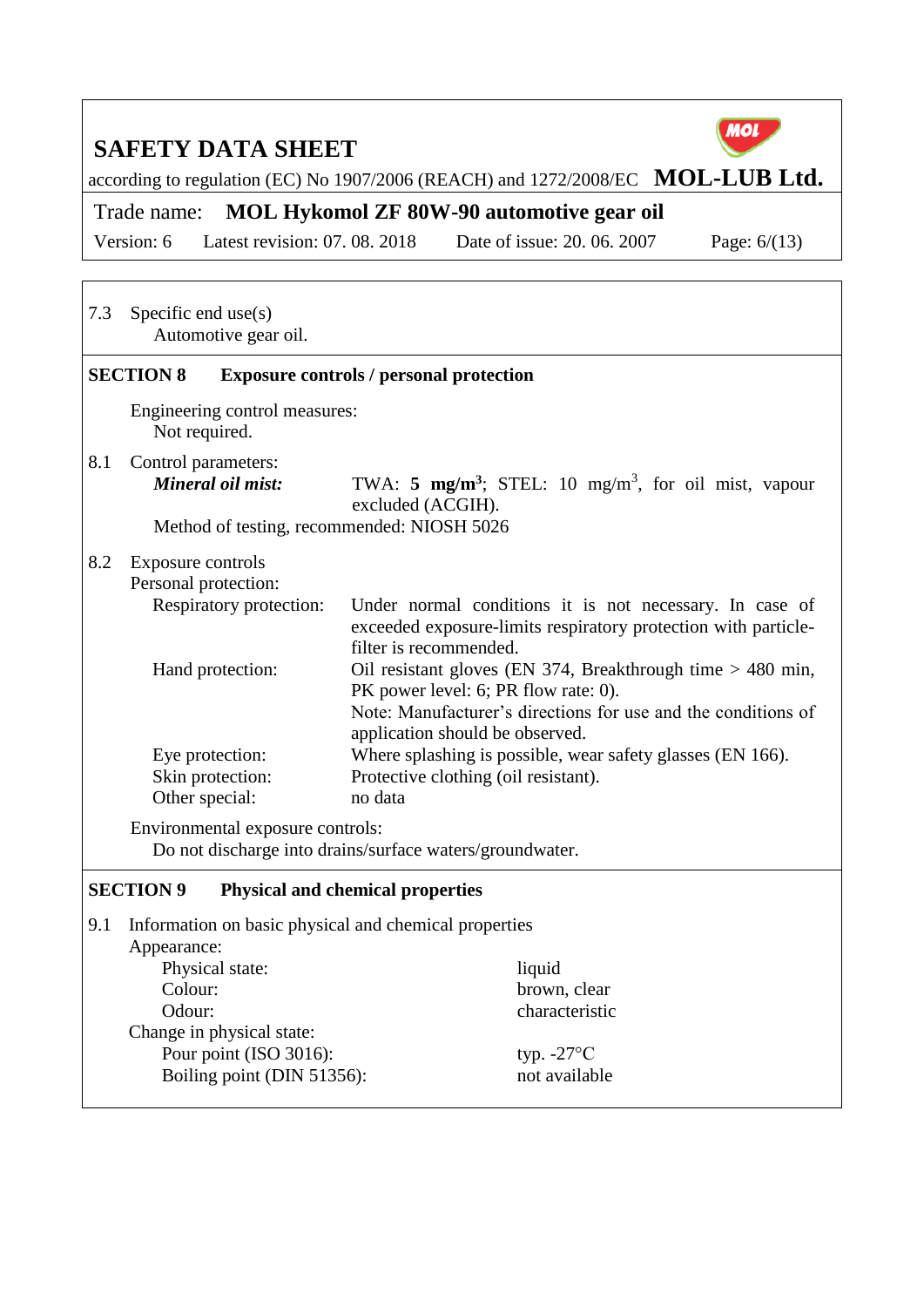

according to regulation (EC) No 1907/2006 (REACH) and 1272/2008/EC **MOL-LUB Ltd.** 

Trade name: **MOL Hykomol ZF 80W-90 automotive gear oil**

Version: 6 Latest revision: 07. 08. 2018 Date of issue: 20. 06. 2007 Page: 6/(13)

| 7.3                                                                                                                                                                                                                                                                                           | Specific end $use(s)$<br>Automotive gear oil.                                                                                                                                                                                                                                                                                                                                                                                                                                                                                                                                                                                                                                                                                         |                                                                                 |  |  |  |  |
|-----------------------------------------------------------------------------------------------------------------------------------------------------------------------------------------------------------------------------------------------------------------------------------------------|---------------------------------------------------------------------------------------------------------------------------------------------------------------------------------------------------------------------------------------------------------------------------------------------------------------------------------------------------------------------------------------------------------------------------------------------------------------------------------------------------------------------------------------------------------------------------------------------------------------------------------------------------------------------------------------------------------------------------------------|---------------------------------------------------------------------------------|--|--|--|--|
|                                                                                                                                                                                                                                                                                               | <b>SECTION 8</b>                                                                                                                                                                                                                                                                                                                                                                                                                                                                                                                                                                                                                                                                                                                      | <b>Exposure controls / personal protection</b>                                  |  |  |  |  |
|                                                                                                                                                                                                                                                                                               | Engineering control measures:<br>Not required.                                                                                                                                                                                                                                                                                                                                                                                                                                                                                                                                                                                                                                                                                        |                                                                                 |  |  |  |  |
| 8.1                                                                                                                                                                                                                                                                                           | Control parameters:<br>Mineral oil mist:<br>Method of testing, recommended: NIOSH 5026                                                                                                                                                                                                                                                                                                                                                                                                                                                                                                                                                                                                                                                | TWA: 5 $mg/m^3$ ; STEL: 10 $mg/m^3$ , for oil mist, vapour<br>excluded (ACGIH). |  |  |  |  |
| 8.2                                                                                                                                                                                                                                                                                           | Exposure controls<br>Personal protection:<br>Respiratory protection:<br>Under normal conditions it is not necessary. In case of<br>exceeded exposure-limits respiratory protection with particle-<br>filter is recommended.<br>Oil resistant gloves (EN 374, Breakthrough time $>$ 480 min,<br>Hand protection:<br>PK power level: 6; PR flow rate: 0).<br>Note: Manufacturer's directions for use and the conditions of<br>application should be observed.<br>Eye protection:<br>Where splashing is possible, wear safety glasses (EN 166).<br>Protective clothing (oil resistant).<br>Skin protection:<br>Other special:<br>no data<br>Environmental exposure controls:<br>Do not discharge into drains/surface waters/groundwater. |                                                                                 |  |  |  |  |
|                                                                                                                                                                                                                                                                                               | <b>SECTION 9</b>                                                                                                                                                                                                                                                                                                                                                                                                                                                                                                                                                                                                                                                                                                                      | <b>Physical and chemical properties</b>                                         |  |  |  |  |
| 9.1<br>Information on basic physical and chemical properties<br>Appearance:<br>Physical state:<br>liquid<br>Colour:<br>brown, clear<br>Odour:<br>characteristic<br>Change in physical state:<br>Pour point (ISO 3016):<br>typ. $-27^{\circ}$ C<br>Boiling point (DIN 51356):<br>not available |                                                                                                                                                                                                                                                                                                                                                                                                                                                                                                                                                                                                                                                                                                                                       |                                                                                 |  |  |  |  |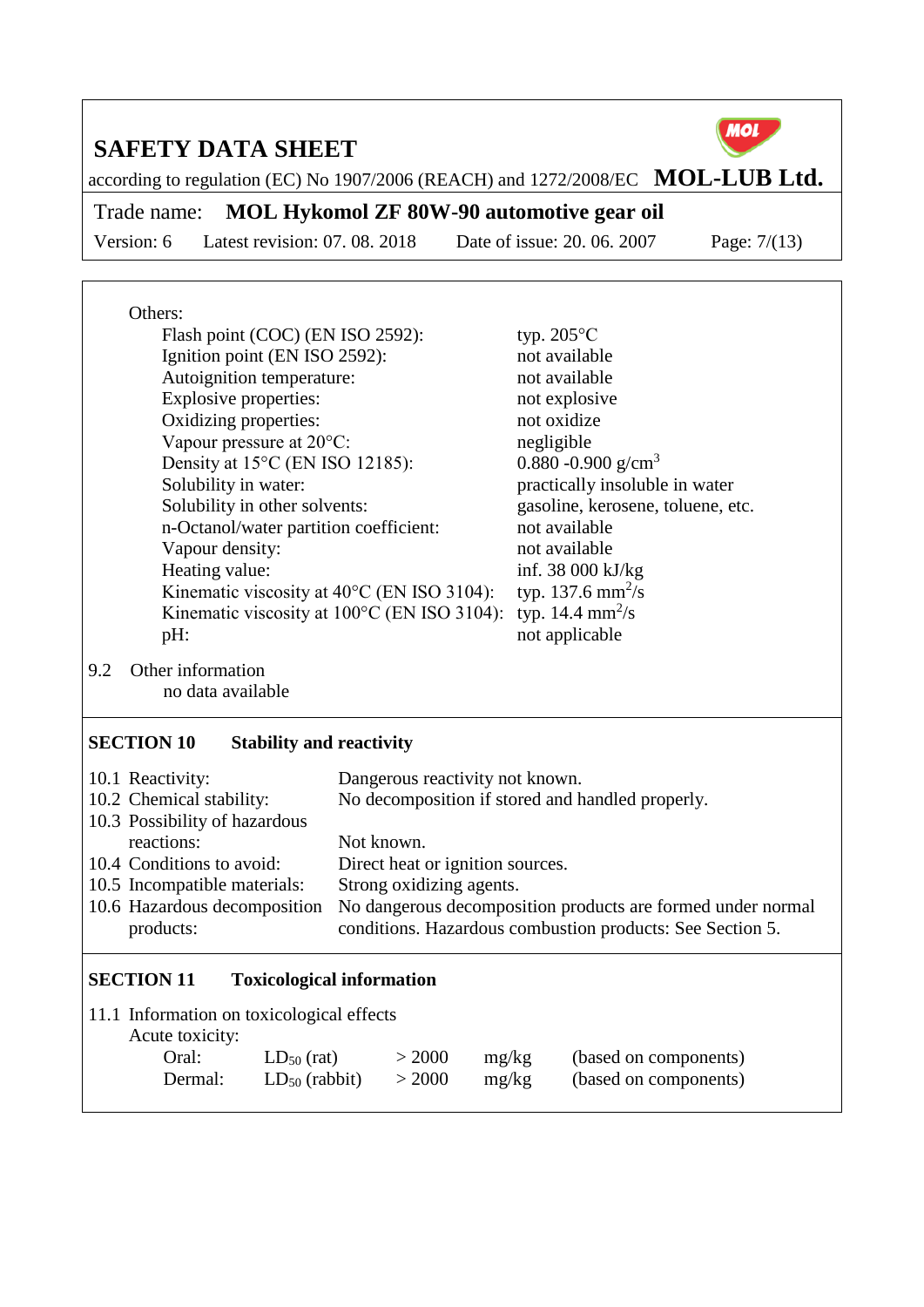

according to regulation (EC) No 1907/2006 (REACH) and 1272/2008/EC **MOL-LUB Ltd.** 

Trade name: **MOL Hykomol ZF 80W-90 automotive gear oil**

Version: 6 Latest revision: 07. 08. 2018 Date of issue: 20. 06. 2007 Page: 7/(13)

|     | Others:                                                  |                                  |            |                                                  |                      |                                                                                |                                                             |  |
|-----|----------------------------------------------------------|----------------------------------|------------|--------------------------------------------------|----------------------|--------------------------------------------------------------------------------|-------------------------------------------------------------|--|
|     | Flash point (COC) (EN ISO 2592):                         |                                  |            |                                                  | typ. $205^{\circ}$ C |                                                                                |                                                             |  |
|     | Ignition point (EN ISO 2592):                            |                                  |            |                                                  | not available        |                                                                                |                                                             |  |
|     | Autoignition temperature:                                |                                  |            |                                                  | not available        |                                                                                |                                                             |  |
|     | Explosive properties:<br>Oxidizing properties:           |                                  |            |                                                  | not explosive        |                                                                                |                                                             |  |
|     |                                                          |                                  |            |                                                  | not oxidize          |                                                                                |                                                             |  |
|     | Vapour pressure at 20°C:                                 |                                  |            |                                                  |                      | negligible<br>0.880 -0.900 g/cm <sup>3</sup><br>practically insoluble in water |                                                             |  |
|     | Density at 15°C (EN ISO 12185):                          |                                  |            |                                                  |                      |                                                                                |                                                             |  |
|     | Solubility in water:                                     |                                  |            |                                                  |                      |                                                                                |                                                             |  |
|     | Solubility in other solvents:                            |                                  |            |                                                  |                      | gasoline, kerosene, toluene, etc.                                              |                                                             |  |
|     | n-Octanol/water partition coefficient:                   |                                  |            |                                                  |                      | not available                                                                  |                                                             |  |
|     | Vapour density:                                          |                                  |            |                                                  |                      | not available                                                                  |                                                             |  |
|     | Heating value:                                           |                                  |            |                                                  |                      |                                                                                | inf. 38 000 kJ/kg                                           |  |
|     | Kinematic viscosity at $40^{\circ}$ C (EN ISO 3104):     |                                  |            |                                                  |                      |                                                                                | typ. 137.6 mm <sup>2</sup> /s                               |  |
|     | Kinematic viscosity at 100°C (EN ISO 3104):              |                                  |            |                                                  |                      |                                                                                | typ. 14.4 $mm^2/s$                                          |  |
|     | pH:                                                      |                                  |            |                                                  |                      | not applicable                                                                 |                                                             |  |
| 9.2 | Other information<br>no data available                   |                                  |            |                                                  |                      |                                                                                |                                                             |  |
|     | <b>SECTION 10</b>                                        | <b>Stability and reactivity</b>  |            |                                                  |                      |                                                                                |                                                             |  |
|     | 10.1 Reactivity:                                         |                                  |            | Dangerous reactivity not known.                  |                      |                                                                                |                                                             |  |
|     | 10.2 Chemical stability:                                 |                                  |            | No decomposition if stored and handled properly. |                      |                                                                                |                                                             |  |
|     | 10.3 Possibility of hazardous                            |                                  |            |                                                  |                      |                                                                                |                                                             |  |
|     | reactions:                                               |                                  | Not known. |                                                  |                      |                                                                                |                                                             |  |
|     | 10.4 Conditions to avoid:                                |                                  |            | Direct heat or ignition sources.                 |                      |                                                                                |                                                             |  |
|     | 10.5 Incompatible materials:<br>Strong oxidizing agents. |                                  |            |                                                  |                      |                                                                                |                                                             |  |
|     | 10.6 Hazardous decomposition                             |                                  |            |                                                  |                      |                                                                                | No dangerous decomposition products are formed under normal |  |
|     | products:                                                |                                  |            |                                                  |                      |                                                                                | conditions. Hazardous combustion products: See Section 5.   |  |
|     | <b>SECTION 11</b>                                        | <b>Toxicological information</b> |            |                                                  |                      |                                                                                |                                                             |  |
|     | 11.1 Information on toxicological effects                |                                  |            |                                                  |                      |                                                                                |                                                             |  |
|     | Acute toxicity:                                          |                                  |            |                                                  |                      |                                                                                |                                                             |  |
|     | Oral:                                                    | $LD_{50}$ (rat)                  |            | > 2000                                           | mg/kg                |                                                                                | (based on components)                                       |  |
|     | Dermal:                                                  | $LD_{50}$ (rabbit)               |            | > 2000                                           | mg/kg                |                                                                                | (based on components)                                       |  |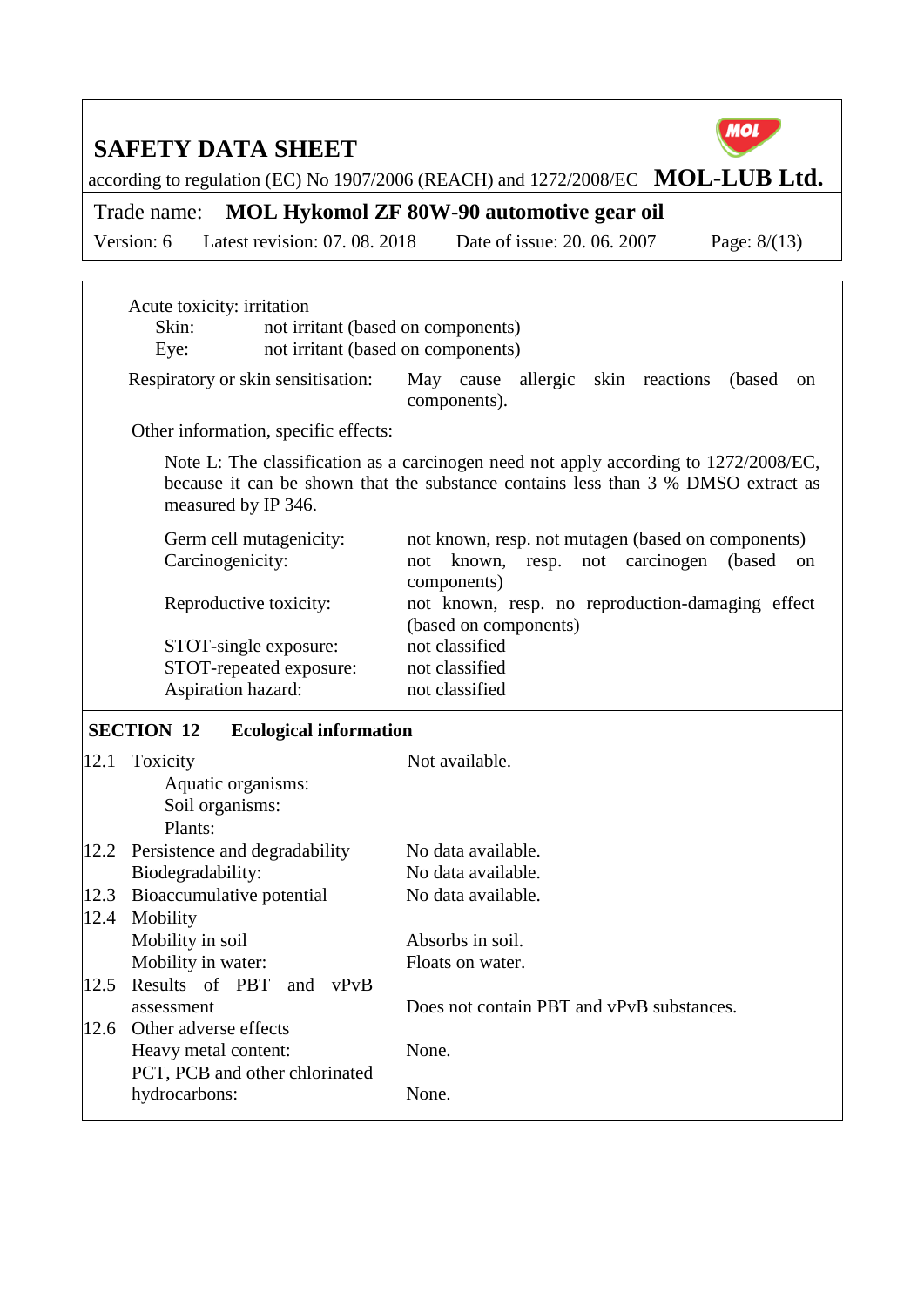PCT, PCB and other chlorinated

hydrocarbons: None.



according to regulation (EC) No 1907/2006 (REACH) and 1272/2008/EC **MOL-LUB Ltd.** 

Trade name: **MOL Hykomol ZF 80W-90 automotive gear oil**

Version: 6 Latest revision: 07. 08. 2018 Date of issue: 20. 06. 2007 Page: 8/(13)

|      | Acute toxicity: irritation<br>Skin:                          | not irritant (based on components)                                                                                                                                        |
|------|--------------------------------------------------------------|---------------------------------------------------------------------------------------------------------------------------------------------------------------------------|
|      | Eye:                                                         | not irritant (based on components)                                                                                                                                        |
|      | Respiratory or skin sensitisation:                           | May cause allergic skin reactions<br>(based)<br><sub>on</sub><br>components).                                                                                             |
|      | Other information, specific effects:                         |                                                                                                                                                                           |
|      | measured by IP 346.                                          | Note L: The classification as a carcinogen need not apply according to 1272/2008/EC,<br>because it can be shown that the substance contains less than 3 % DMSO extract as |
|      | Germ cell mutagenicity:<br>Carcinogenicity:                  | not known, resp. not mutagen (based on components)<br>not known,<br>resp. not carcinogen<br>(based)<br>on<br>components)                                                  |
|      | Reproductive toxicity:                                       | not known, resp. no reproduction-damaging effect<br>(based on components)                                                                                                 |
|      | STOT-single exposure:                                        | not classified                                                                                                                                                            |
|      | STOT-repeated exposure:                                      | not classified                                                                                                                                                            |
|      | Aspiration hazard:                                           | not classified                                                                                                                                                            |
|      | <b>SECTION 12</b><br><b>Ecological information</b>           |                                                                                                                                                                           |
| 12.1 | Toxicity<br>Aquatic organisms:<br>Soil organisms:<br>Plants: | Not available.                                                                                                                                                            |
|      | 12.2 Persistence and degradability                           | No data available.                                                                                                                                                        |
|      | Biodegradability:                                            | No data available.                                                                                                                                                        |
| 12.3 | Bioaccumulative potential                                    | No data available.                                                                                                                                                        |
| 12.4 | Mobility                                                     |                                                                                                                                                                           |
|      | Mobility in soil                                             | Absorbs in soil.                                                                                                                                                          |
|      | Mobility in water:                                           | Floats on water.                                                                                                                                                          |
| 12.5 | Results of PBT<br>and vPvB<br>assessment                     | Does not contain PBT and vPvB substances.                                                                                                                                 |
|      | 12.6 Other adverse effects<br>Heavy metal content:           | None.                                                                                                                                                                     |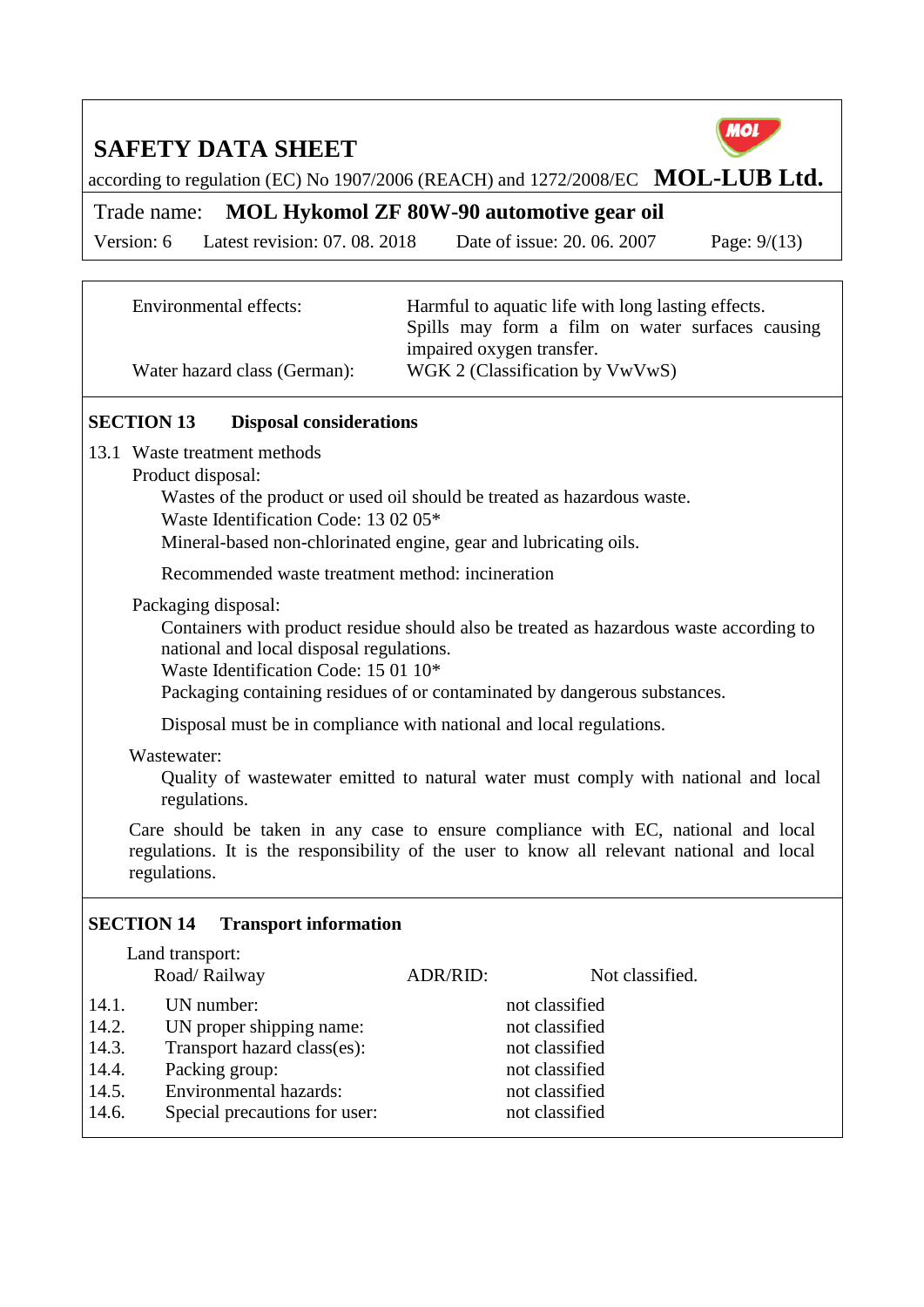

according to regulation (EC) No 1907/2006 (REACH) and 1272/2008/EC **MOL-LUB Ltd.** 

Trade name: **MOL Hykomol ZF 80W-90 automotive gear oil**

Version: 6 Latest revision: 07. 08. 2018 Date of issue: 20. 06. 2007 Page: 9/(13)

| Environmental effects:       | Harmful to aquatic life with long lasting effects. |  |  |
|------------------------------|----------------------------------------------------|--|--|
|                              | Spills may form a film on water surfaces causing   |  |  |
|                              | impaired oxygen transfer.                          |  |  |
| Water hazard class (German): | WGK 2 (Classification by VwVwS)                    |  |  |

#### **SECTION 13 Disposal considerations**

- 13.1 Waste treatment methods
	- Product disposal:

Wastes of the product or used oil should be treated as hazardous waste.

Waste Identification Code: 13 02 05\*

Mineral-based non-chlorinated engine, gear and lubricating oils.

Recommended waste treatment method: incineration

#### Packaging disposal:

Containers with product residue should also be treated as hazardous waste according to national and local disposal regulations.

Waste Identification Code: 15 01 10\*

Packaging containing residues of or contaminated by dangerous substances.

Disposal must be in compliance with national and local regulations.

#### Wastewater:

Land transport:

Quality of wastewater emitted to natural water must comply with national and local regulations.

Care should be taken in any case to ensure compliance with EC, national and local regulations. It is the responsibility of the user to know all relevant national and local regulations.

#### **SECTION 14 Transport information**

|                                                    | Land transport.<br>Road/Railway                                                                                                                    | ADR/RID: | Not classified.                                                                                          |
|----------------------------------------------------|----------------------------------------------------------------------------------------------------------------------------------------------------|----------|----------------------------------------------------------------------------------------------------------|
| 14.1.<br>14.2.<br>14.3.<br>14.4.<br>14.5.<br>14.6. | UN number:<br>UN proper shipping name:<br>Transport hazard class(es):<br>Packing group:<br>Environmental hazards:<br>Special precautions for user: |          | not classified<br>not classified<br>not classified<br>not classified<br>not classified<br>not classified |
|                                                    |                                                                                                                                                    |          |                                                                                                          |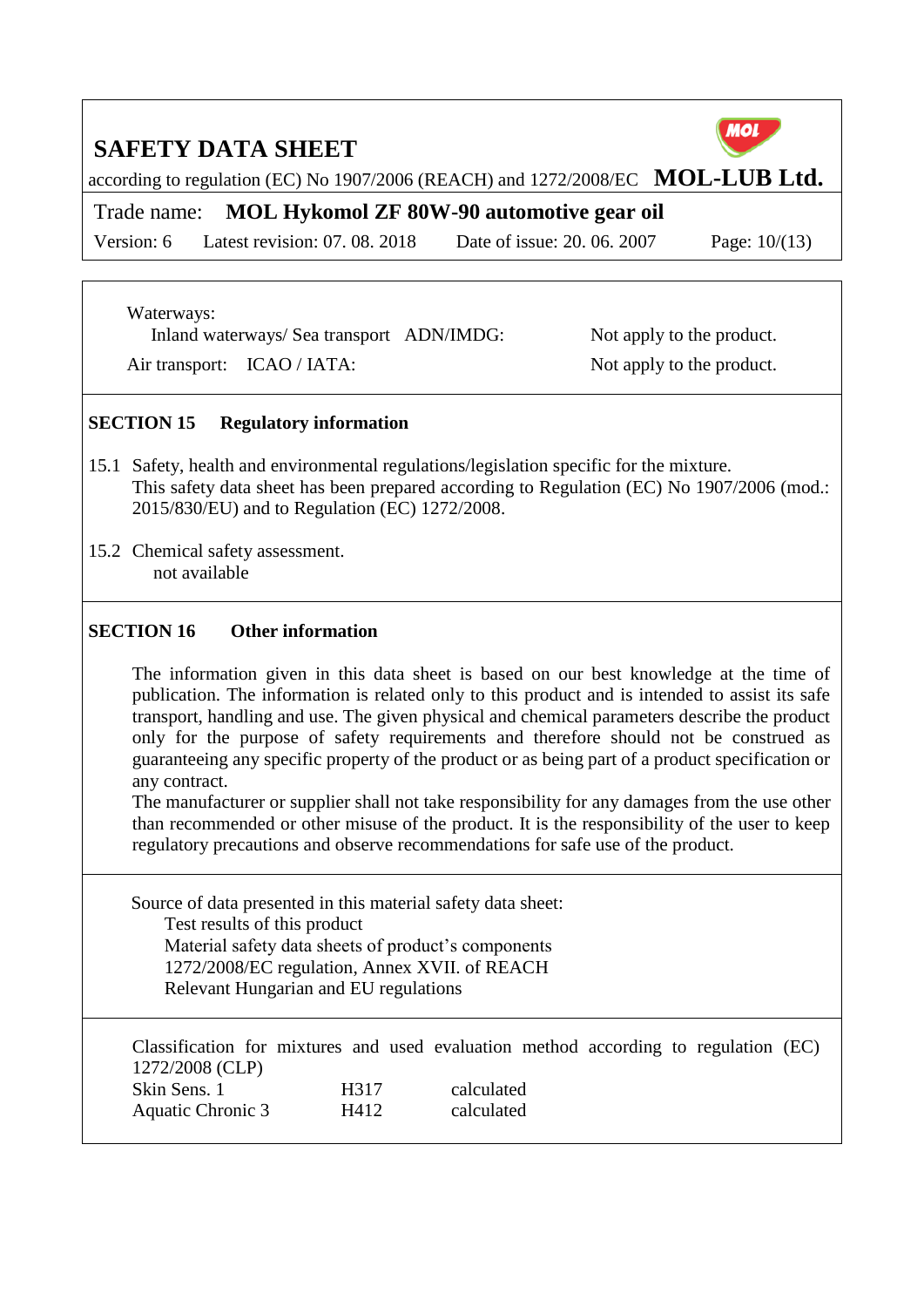according to regulation (EC) No 1907/2006 (REACH) and 1272/2008/EC **MOL-LUB Ltd.** 

Trade name: **MOL Hykomol ZF 80W-90 automotive gear oil**

Version: 6 Latest revision: 07. 08. 2018 Date of issue: 20. 06. 2007 Page: 10/(13)

Waterways:

Inland waterways/ Sea transport ADN/IMDG: Not apply to the product.

Air transport: ICAO / IATA: Not apply to the product.

#### **SECTION 15 Regulatory information**

- 15.1 Safety, health and environmental regulations/legislation specific for the mixture. This safety data sheet has been prepared according to Regulation (EC) No 1907/2006 (mod.: 2015/830/EU) and to Regulation (EC) 1272/2008.
- 15.2 Chemical safety assessment. not available

#### **SECTION 16 Other information**

The information given in this data sheet is based on our best knowledge at the time of publication. The information is related only to this product and is intended to assist its safe transport, handling and use. The given physical and chemical parameters describe the product only for the purpose of safety requirements and therefore should not be construed as guaranteeing any specific property of the product or as being part of a product specification or any contract.

The manufacturer or supplier shall not take responsibility for any damages from the use other than recommended or other misuse of the product. It is the responsibility of the user to keep regulatory precautions and observe recommendations for safe use of the product.

Source of data presented in this material safety data sheet: Test results of this product Material safety data sheets of product's components 1272/2008/EC regulation, Annex XVII. of REACH Relevant Hungarian and EU regulations

Classification for mixtures and used evaluation method according to regulation (EC) 1272/2008 (CLP) Skin Sens. 1 H317 calculated Aquatic Chronic 3 H412 calculated



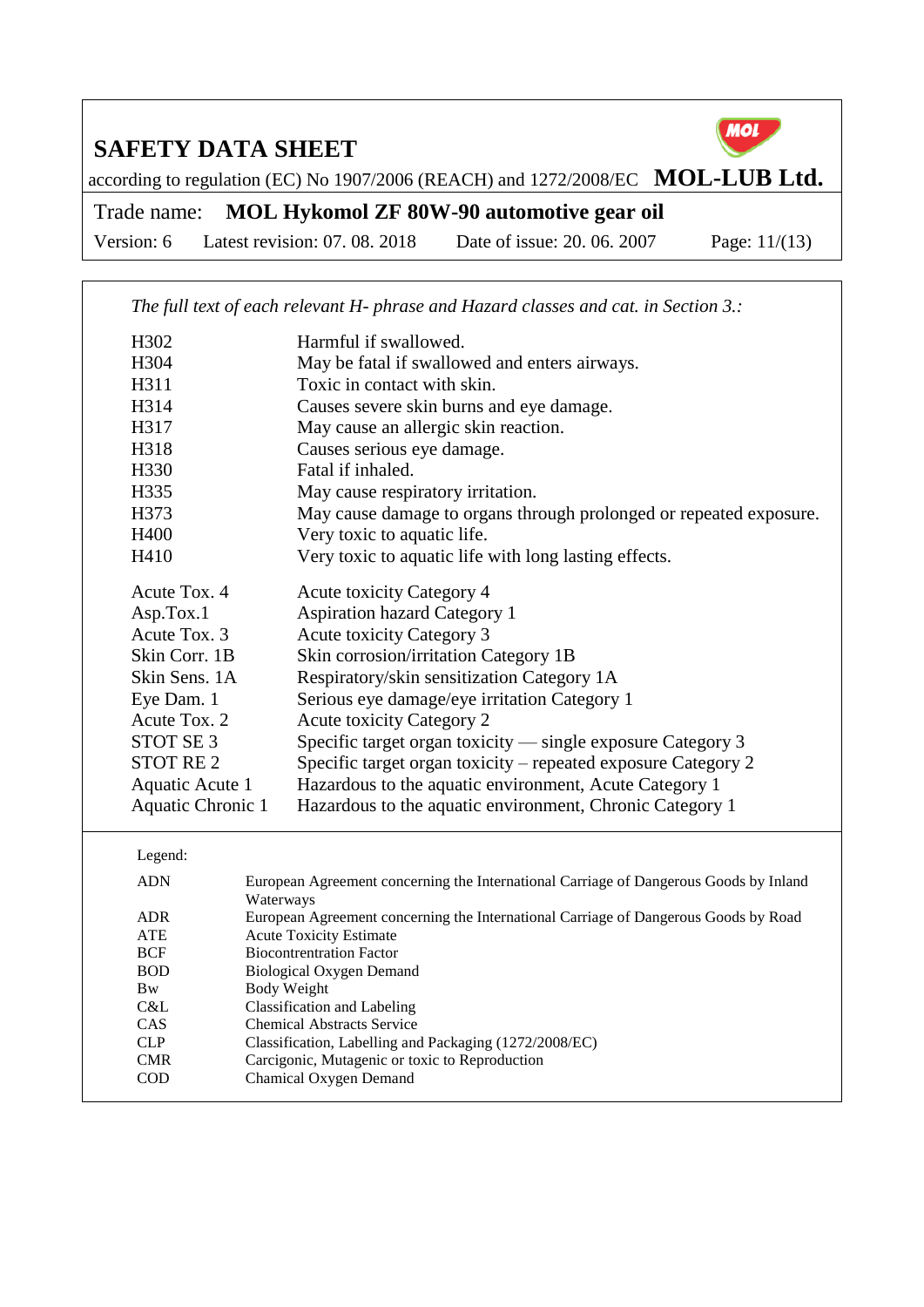

according to regulation (EC) No 1907/2006 (REACH) and 1272/2008/EC **MOL-LUB Ltd.** 

Trade name: **MOL Hykomol ZF 80W-90 automotive gear oil**

Version: 6 Latest revision: 07. 08. 2018 Date of issue: 20. 06. 2007 Page: 11/(13)

| The full text of each relevant H- phrase and Hazard classes and cat. in Section 3.: |                                                                                       |  |  |  |  |  |
|-------------------------------------------------------------------------------------|---------------------------------------------------------------------------------------|--|--|--|--|--|
| H302                                                                                | Harmful if swallowed.                                                                 |  |  |  |  |  |
| H304                                                                                | May be fatal if swallowed and enters airways.                                         |  |  |  |  |  |
| H311                                                                                | Toxic in contact with skin.                                                           |  |  |  |  |  |
| H314                                                                                | Causes severe skin burns and eye damage.                                              |  |  |  |  |  |
| H317                                                                                | May cause an allergic skin reaction.                                                  |  |  |  |  |  |
| H318                                                                                | Causes serious eye damage.                                                            |  |  |  |  |  |
| H330                                                                                | Fatal if inhaled.                                                                     |  |  |  |  |  |
| H335                                                                                | May cause respiratory irritation.                                                     |  |  |  |  |  |
| H373                                                                                | May cause damage to organs through prolonged or repeated exposure.                    |  |  |  |  |  |
| H400                                                                                | Very toxic to aquatic life.                                                           |  |  |  |  |  |
| H410                                                                                | Very toxic to aquatic life with long lasting effects.                                 |  |  |  |  |  |
|                                                                                     |                                                                                       |  |  |  |  |  |
| Acute Tox. 4                                                                        | <b>Acute toxicity Category 4</b>                                                      |  |  |  |  |  |
| Asp.Tox.1                                                                           | <b>Aspiration hazard Category 1</b>                                                   |  |  |  |  |  |
| Acute Tox. 3                                                                        | <b>Acute toxicity Category 3</b>                                                      |  |  |  |  |  |
| Skin Corr. 1B                                                                       | Skin corrosion/irritation Category 1B                                                 |  |  |  |  |  |
| Skin Sens. 1A                                                                       | Respiratory/skin sensitization Category 1A                                            |  |  |  |  |  |
| Eye Dam. 1                                                                          | Serious eye damage/eye irritation Category 1                                          |  |  |  |  |  |
| Acute Tox. 2                                                                        | <b>Acute toxicity Category 2</b>                                                      |  |  |  |  |  |
| STOT SE <sub>3</sub>                                                                | Specific target organ toxicity — single exposure Category 3                           |  |  |  |  |  |
| <b>STOT RE2</b>                                                                     | Specific target organ toxicity – repeated exposure Category 2                         |  |  |  |  |  |
| Aquatic Acute 1                                                                     | Hazardous to the aquatic environment, Acute Category 1                                |  |  |  |  |  |
| Aquatic Chronic 1                                                                   | Hazardous to the aquatic environment, Chronic Category 1                              |  |  |  |  |  |
|                                                                                     |                                                                                       |  |  |  |  |  |
| Legend:                                                                             |                                                                                       |  |  |  |  |  |
| <b>ADN</b>                                                                          | European Agreement concerning the International Carriage of Dangerous Goods by Inland |  |  |  |  |  |
|                                                                                     | Waterways                                                                             |  |  |  |  |  |
| <b>ADR</b>                                                                          | European Agreement concerning the International Carriage of Dangerous Goods by Road   |  |  |  |  |  |
| ATE                                                                                 | <b>Acute Toxicity Estimate</b>                                                        |  |  |  |  |  |
| BCF                                                                                 | <b>Biocontrentration Factor</b>                                                       |  |  |  |  |  |
| <b>BOD</b><br>Bw                                                                    | <b>Biological Oxygen Demand</b>                                                       |  |  |  |  |  |
| C&L                                                                                 | <b>Body Weight</b><br>Classification and Labeling                                     |  |  |  |  |  |
| CAS                                                                                 | <b>Chemical Abstracts Service</b>                                                     |  |  |  |  |  |
| <b>CLP</b>                                                                          | Classification, Labelling and Packaging (1272/2008/EC)                                |  |  |  |  |  |
| <b>CMR</b>                                                                          | Carcigonic, Mutagenic or toxic to Reproduction                                        |  |  |  |  |  |
| COD                                                                                 | Chamical Oxygen Demand                                                                |  |  |  |  |  |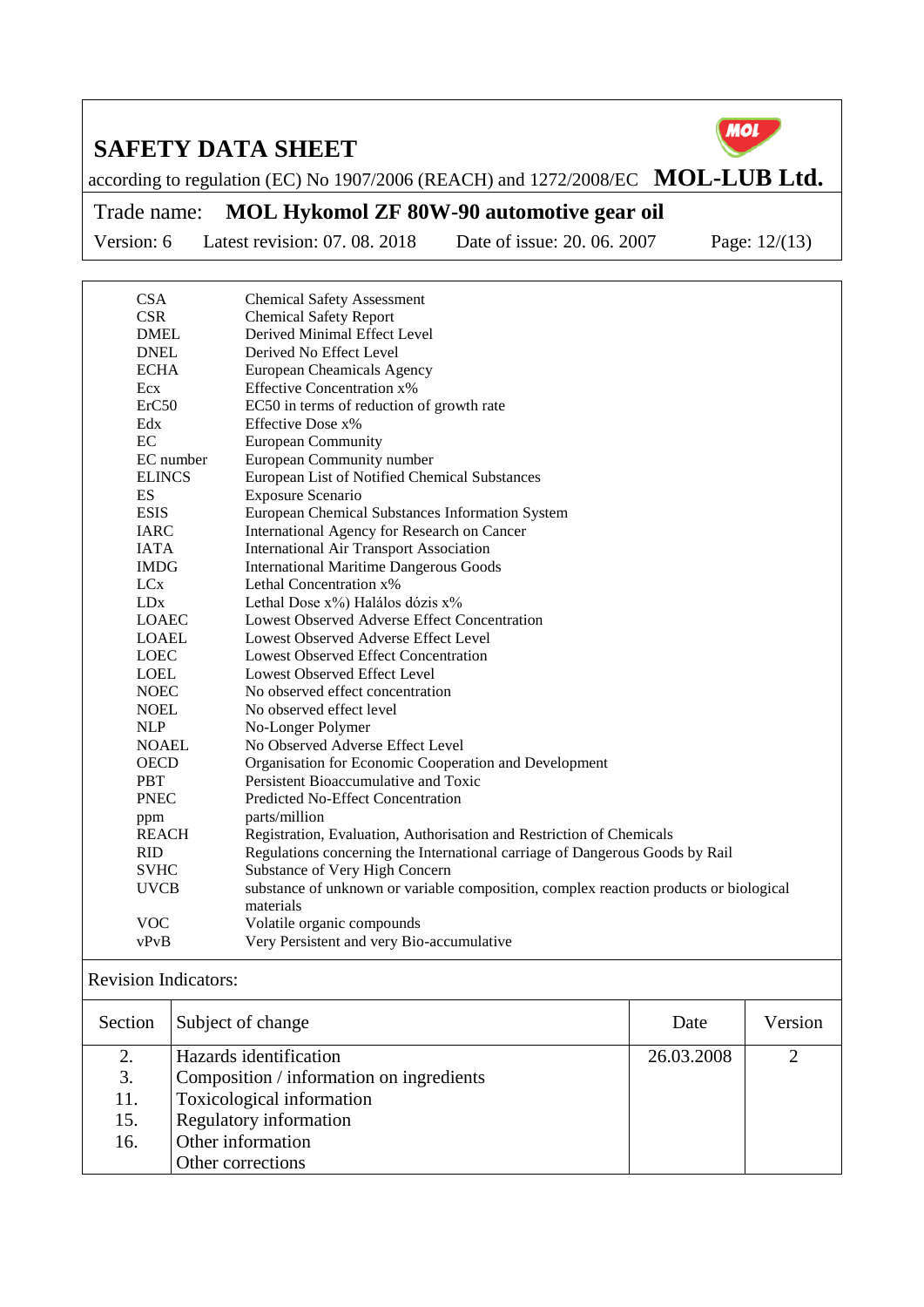

according to regulation (EC) No 1907/2006 (REACH) and 1272/2008/EC **MOL-LUB Ltd.** 

Trade name: **MOL Hykomol ZF 80W-90 automotive gear oil**

Version: 6 Latest revision: 07. 08. 2018 Date of issue: 20. 06. 2007 Page: 12/(13)

| <b>CSA</b>                  | <b>Chemical Safety Assessment</b>                                                     |
|-----------------------------|---------------------------------------------------------------------------------------|
| <b>CSR</b>                  | <b>Chemical Safety Report</b>                                                         |
| <b>DMEL</b>                 | Derived Minimal Effect Level                                                          |
| <b>DNEL</b>                 | Derived No Effect Level                                                               |
| <b>ECHA</b>                 | European Cheamicals Agency                                                            |
| Ecx                         | <b>Effective Concentration x%</b>                                                     |
| ErC50                       | EC50 in terms of reduction of growth rate                                             |
| Edx                         | Effective Dose x%                                                                     |
| EC                          | <b>European Community</b>                                                             |
| EC number                   | European Community number                                                             |
| <b>ELINCS</b>               | European List of Notified Chemical Substances                                         |
| ES                          | Exposure Scenario                                                                     |
| <b>ESIS</b>                 | European Chemical Substances Information System                                       |
| <b>IARC</b>                 | International Agency for Research on Cancer                                           |
| <b>IATA</b>                 | International Air Transport Association                                               |
| <b>IMDG</b>                 | <b>International Maritime Dangerous Goods</b>                                         |
| LCx                         | Lethal Concentration x%                                                               |
| LDx                         | Lethal Dose $x\%$ ) Halálos dózis $x\%$                                               |
| <b>LOAEC</b>                | Lowest Observed Adverse Effect Concentration                                          |
| <b>LOAEL</b>                | Lowest Observed Adverse Effect Level                                                  |
| <b>LOEC</b>                 | <b>Lowest Observed Effect Concentration</b>                                           |
| <b>LOEL</b>                 | Lowest Observed Effect Level                                                          |
| <b>NOEC</b>                 | No observed effect concentration                                                      |
| <b>NOEL</b>                 | No observed effect level                                                              |
| <b>NLP</b>                  | No-Longer Polymer                                                                     |
| <b>NOAEL</b>                | No Observed Adverse Effect Level                                                      |
| <b>OECD</b>                 | Organisation for Economic Cooperation and Development                                 |
| <b>PBT</b>                  | Persistent Bioaccumulative and Toxic                                                  |
| <b>PNEC</b>                 | Predicted No-Effect Concentration                                                     |
| ppm                         | parts/million                                                                         |
| <b>REACH</b>                | Registration, Evaluation, Authorisation and Restriction of Chemicals                  |
| <b>RID</b>                  | Regulations concerning the International carriage of Dangerous Goods by Rail          |
| <b>SVHC</b>                 | Substance of Very High Concern                                                        |
| <b>UVCB</b>                 | substance of unknown or variable composition, complex reaction products or biological |
|                             | materials                                                                             |
| <b>VOC</b>                  | Volatile organic compounds                                                            |
| vPvB                        | Very Persistent and very Bio-accumulative                                             |
| <b>Revision Indicators:</b> |                                                                                       |
|                             |                                                                                       |

| Section | Subject of change                        | Date       | Version |
|---------|------------------------------------------|------------|---------|
| 2.      | Hazards identification                   | 26.03.2008 | ⌒       |
| 3.      | Composition / information on ingredients |            |         |
| 11.     | Toxicological information                |            |         |
| 15.     | <b>Regulatory information</b>            |            |         |
| 16.     | Other information                        |            |         |
|         | Other corrections                        |            |         |